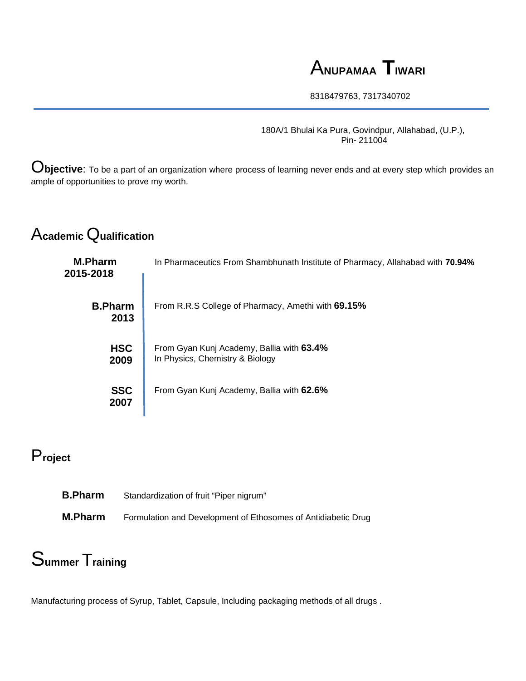## A**NUPAMAA TIWARI**

8318479763, 7317340702

180A/1 Bhulai Ka Pura, Govindpur, Allahabad, (U.P.), Pin- 211004

O**bjective**: To be a part of an organization where process of learning never ends and at every step which provides an ample of opportunities to prove my worth.

## A**cademic** Q**ualification**

| <b>M.Pharm</b><br>2015-2018 | In Pharmaceutics From Shambhunath Institute of Pharmacy, Allahabad with 70.94% |
|-----------------------------|--------------------------------------------------------------------------------|
| <b>B.Pharm</b><br>2013      | From R.R.S College of Pharmacy, Amethi with 69.15%                             |
| <b>HSC</b><br>2009          | From Gyan Kunj Academy, Ballia with 63.4%<br>In Physics, Chemistry & Biology   |
| <b>SSC</b><br>2007          | From Gyan Kunj Academy, Ballia with 62.6%                                      |

### P**roject**

| <b>B.Pharm</b> | Standardization of fruit "Piper nigrum"                       |
|----------------|---------------------------------------------------------------|
| <b>M.Pharm</b> | Formulation and Development of Ethosomes of Antidiabetic Drug |

# S**ummer** T**raining**

Manufacturing process of Syrup, Tablet, Capsule, Including packaging methods of all drugs .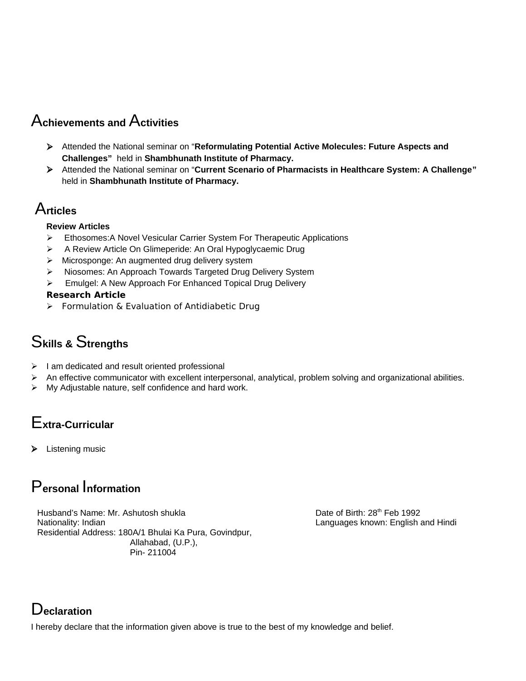### A**chievements and** A**ctivities**

- Attended the National seminar on "**Reformulating Potential Active Molecules: Future Aspects and Challenges"** held in **Shambhunath Institute of Pharmacy.**
- Attended the National seminar on "**Current Scenario of Pharmacists in Healthcare System: A Challenge"**  held in **Shambhunath Institute of Pharmacy.**

### A**rticles**

#### **Review Articles**

- Ethosomes:A Novel Vesicular Carrier System For Therapeutic Applications
- A Review Article On Glimeperide: An Oral Hypoglycaemic Drug
- **EXECT** Microsponge: An augmented drug delivery system
- Niosomes: An Approach Towards Targeted Drug Delivery System
- **Emulgel: A New Approach For Enhanced Topical Drug Delivery**

#### **Research Article**

**Formulation & Evaluation of Antidiabetic Drug** 

### S**kills &** S**trengths**

- $\triangleright$  I am dedicated and result oriented professional
- $\triangleright$  An effective communicator with excellent interpersonal, analytical, problem solving and organizational abilities.
- My Adjustable nature, self confidence and hard work.

## E**xtra-Curricular**

Listening music

### P**ersonal** I**nformation**

Husband's Name: Mr. Ashutosh shukla Date of Birth: 28<sup>th</sup> Feb 1992 Nationality: Indian Languages known: English and Hindi Residential Address: 180A/1 Bhulai Ka Pura, Govindpur, Allahabad, (U.P.), Pin- 211004

### D**eclaration**

I hereby declare that the information given above is true to the best of my knowledge and belief.